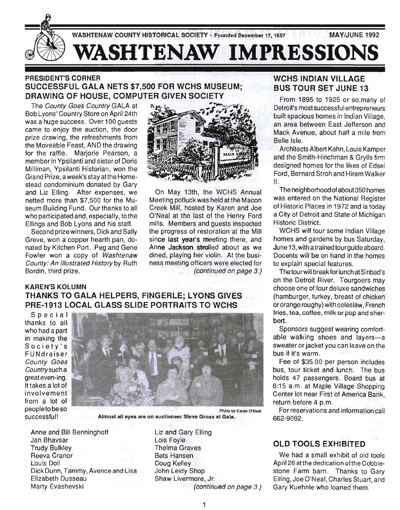

## PRESIDENT'S CORNER SUCCESSFUL GALA NETS \$7,500 FOR WCHS MUSEUM; DRAWING OF HOUSE, COMPUTER GIVEN SOCIETY

The County Goes Country GALA at Bob Lyons' Country Store on April 24th was a huge success. Over 100 guests came to enjoy the auction, the door prize drawing, the refreshments from the Moveable Feast, AND the drawing for the raffle. Marjorie Pearson, a member in Ypsilanti and sister of Doris Milliman, Ypsilanti Historian, won the Grand Prize, a week's stay at the Homestead condominium donated by Gary and Liz Elling. After expenses, we netted more than \$7,500 for the Museum Building Fund. Our thanks to all who participated and, especially, to the Ellings and Bob Lyons and his staff.

Second prize winners, Dick and Sally Greve, won a copper hearth pan, donated by Kitchen Port. Peg and Gene Fowler won a copy of Washtenaw County: An Illustrated History by Ruth Bordin, third prize.



On May 13th, the WCHS Annual Meeting potluck was held at the Macon Creek Mill, hosted by Karen and Joe O'Neal at the last of the Henry Ford mills. Members and guests inspected the progress of restoration at the Mill since last year's meeting there, and Anne Jackson strolled about as we dined, playing her violin. At the business meeting officers were elected for (continued on page 3.)

#### KAREN'S KOLUMN THANKS TO GALA HELPERS, FINGERLE; LYONS GIVES PRE-1913 LOCAL GLASS SLIDE PORTRAITS TO WCHS

Special thanks to all who had a part in making the Society's FUNdraiser County Goes Country such a great even-ing. It takes a lot of involvement from a lot of peopletobeso successful!



Almost all eyes are on auctioneer Steve Gross at Gala.

Anne and Bill Benninghoff Jan Bhavsar Trudy Bulkley Reeva Cranor Louis Doll Dick Dunn, Tammy, Avence and Lisa Elizabeth Dusseau Marty Evashevski

Liz and Gary Elling Lois Foyle Thelma Graves Bets Hansen Doug Kelley John Leidy Shop Shaw Livermore, Jr. (continued on page 3.)

## WCHS INDIAN VILLAGE BUS TOUR SET JUNE 13

From 1895 to 1925 or so, many of Detroit's most successful entrepreneurs built spacious homes in Indian Village, an area between East Jefferson and Mack Avenue, about half a mile from Belle Isle.

Architects Albert Kahn, Louis Kamper and the Smith-Hinchman & Grylls firm designed homes for the likes of Edsel Ford, Bernard Stroh and Hiram Walker II.

The neighborhood of about 350 homes was entered on the National Register of Historic Places in 1972 and is today a City of Detroit and State of Michigan Historic District.

WCHS will tour some Indian Village homes and gardens by bus Saturday, June 13, with atrainedtourguide aboard. Docents will be on hand in the homes to explain special features.

The tourwill break for lunch at Sinbad's on the Detroit River. Tourgoers may choose one of four deluxe sandwiches (hamburger, turkey, breast of chicken ororange roughy) with coleslaw, French fries, tea, coffee, milk or pop and sherbert.

Sponsors suggest wearing comfortable walking shoes and layers-a sweater or jacket you can leave on the bus if it's warm.

Fee of \$35.00 per person includes bus, tour ticket and lunch. The bus holds 47 passengers. Board bus at 8:15 a.m. at Maple Village Shopping Center lot near First of America Bank, return before 4 p.m,

For reservations and information call 662-9092.

# OLD TOOLS EXHIBITED

We had a small exhibit of old tools April 26 at the dedication of the Cobblestone Farm barn. Thanks to Gary Elling, Joe O'Neal, Charles Stuart, and Gary Kuehnle who loaned them.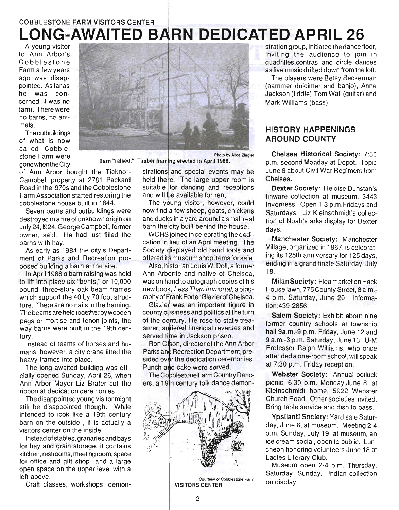# COBBLESTONE FARM VISITORS CENTER **LONG-AWAITED BARN DEDICATED APRIL 26**

A young visitor to Ann Arbor's Cobblestone Farm a few years ago was disappointed. As far as he was concerned, it was no farm. There were no barns, no animals.

The outbuildings of what is now called Cobblestone Farm were gonewhentheCity Barn "raised." Timber 9 erected in April 1988.



of Ann Arbor bought the Ticknor-Campbell property at 2781 Packard Road in the 1970s and the Cobblestone Farm Association started restoring the cobblestone house built in 1844.

Seven barns and outbuildings were destroyed in a fire of unknown origin on July 24,1924, George Campbell, former owner, said. He had just filled the barns with hay.

As early as 1984 the city's Department of Parks and Recreation proposed building a barn at the site.

In April 1988 a barn raising was held to lift into place six "bents," or 10,000 pound, three-story oak beam frames which support the 40 by 70 foot structure. There are no nails in the framing. The beams are held together by wooden pegs or mortise and tenon joints, the way barns were built in the 19th century.

Instead of teams of horses and humans, however, a city crane lifted the heavy frames into place.

The long awaited building was officially opened Sunday, April 26, when Ann Arbor Mayor Liz Brater cut the ribbon at dedication ceremonies.

The disappointed young visitor might still be disappointed though. While intended to look like a 19th century barn on the outside , it is actually a visitors center on the inside.

Instead of stables, granaries and bays for hay and grain storage, it contains kitchen, restrooms, meeting room, space for office and gift shop and a large open space on the upper level with a loft above.

Craft classes, workshops, demon-

strations and special events may be held the te. The large upper room is suitable for dancing and receptions and will be available for rent.

The young visitor, however, could now find a few sheep, goats, chickens and ducks in a yard around a small real barn the city built behind the house.

WCHS ioined in celebrating the dedication in lieu of an April meeting. The Society displayed old hand tools and offered its museum shop items for sale.

Also, historian Louis W. Doll, a former Ann Arborite and native of Chelsea. was on hand to autograph copies of his new book. Less Than Immortal, a biography of Frank Porter Glazier of Chelsea.

Glazier was an important figure in county business and politics at the turn of the century. He rose to state treasurer, suffered financial reverses and served time in Jackson prison.

Ron Olson, director of the Ann Arbor Parks and Recreation Department, presided over the dedication ceremonies. Punch and cake were served.

The Cobblestone Farm Country Dancers, a 19th century folk dance demon-



stration group, initiated the dance floor, inviting the audience to join in quadrilles,contras and circle dances as live music drifted down from the loft.

The players were Betsy Beckerman (hammer dulcimer and banjo), Anne Jackson (fiddle),Tom Wall (guitar) and Mark Williams (bass).

## HISTORY HAPPENINGS AROUND COUNTY

Chelsea Historical Society: 7:30 p.m. second Monday at Depot. Topic June 8 about Civil War Regiment from Chelsea.

Dexter Society: Heloise Dunstan's tinware collection at museum, 3443 Inverness. Open 1-3 p.m.Fridays and Saturdays. Liz Kleinschmidt's collection of Noah's arks display for Dexter days.

Manchester Society: Manchester Village, organized in 1867, is celebrating its 125th anniversary for 125 days, ending in a grand finale Saturday, July 18.

Milan Society: Flea market on Hack House lawn, 775 County Street, 8 a.m.- 4 p.m. Saturday, June 20. Information :439-2856.

Salem Society: Exhibit about nine former country schools at township hall 9a.m.-9 p.m. Friday, June 12 and 9 a.m.-3 p.m. Saturday, June 13. U-M Professor Ralph Williams, who once attended a one-room school, will speak at 7:30 p.m. Friday reception.

Webster Society: Annual potluck picnic, 6:30 p.m. Monday,June 8, at Kleinschmidt home, 5922 Webster Church Road. Other societies invited. Bring table service and dish to pass.

Ypsilanti Society: Yard sale Saturday, June 6, at museum. Meeting 2-4 p.m. Sunday, July 19, at museum, an ice cream social, open to public. Luncheon honoring volunteers June 18 at Ladies Literary Club.

Museum open 2-4 p.m. Thursday, Saturday, Sunday. Indian collection on display.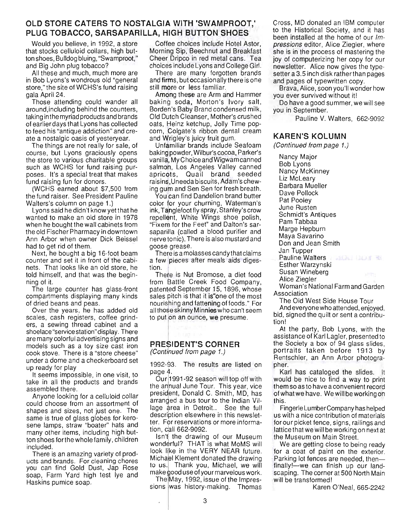# **OLD STORE CATERS TO NOSTALGIA WITH 'SWAMPROOT,' PLUG TOBACCO, SARSAPARILLA, HIGH BUTTON SHOES**

Would you believe, in 1992, a store that stocks celluloid collars, high button shoes, Bulldog bluing, "Swamproot," and Big John plug tobacco?

All these and much, much more are in Bob Lyons's wondrous old "general store," the site of WCHS's fund raising gala April 24.

Those attending could wander all around,including behind the counters, taking in the myriad products and brands of earlier days that Lyons has collected to feed his "antique addiction" and create a nostalgic oasis of yesteryear.

The things are not really for sale, of course, but Lyons graciously opens the store to various charitable groups such as WCHS for fund raising purposes. It's a special treat that makes fund raising fun for donors.

(WCHS earned about \$7,500 from the fund raiser. See President Pauline Walters's column on page 1.)

Lyons said he didn't know yet that he wanted to make an old store in 1978 when he bought the wall cabinets from the old Fischer Pharmacy in downtown Ann Arbor when owner Dick Beissel had to get rid of them.

Next, he bought a big 16-foot beam counter and set it in front of the cabinets. That looks like an old store, he told himself, and that was the beginning of it.

The large counter has glass-front compartments displaying many kinds of dried beans and peas.

Over the years, he has added old scales, cash registers, coffee grinders, a sewing thread cabinet and a shoelace "service station" display. There are many colorful advertising signs and models such as a toy size cast iron cook stove. There is a "store cheese" under a dome and a checkerboard set up ready for play

It seems impossible, in one visit, to take in all the products and brands assembled there.

Anyone looking for a celluloid collar could choose from an assortment of shapes and sizes, not just one. The same is true of glass globes for kerosene lamps, straw "boater" hats and many other items, including high button shoes forthe whole family, children included.

There is an amazing variety of products and brands. For cleaning chores you can find Gold Dust, Jap Rose soap, Farm Yard high test lye and Haskins pumice soap.

Coffee choices include Hotel Astor, Morning Sip, Beechnut and Breakfast Cheer Dripco in red metal cans. Tea choices include Lyons and College Girl.

There are many forgotten brands and firms, but occasionally there is one still more or less familiar.

Among these are Arm and Hammer baking soda, Morton's Ivory salt, Borden's Baby Brand condensed milk, Old Dutch Cleanser, Mother's crushed oats, Heinz ketchup, Jolly Time popcorn, Colgate's ribbon dental cream and Wrigley's juicy fruit gum.

Unfamiliar brands include Seafoam baking powder, Wilbur's cocoa, Parker's vanilla, My Choice and Wigwam canned salmon, Los Angeles Valley canned apricots, Quail brand seeded raisins,Uneeda biscuits, Adam's chewing gum and Sen Sen for fresh breath.

You can find Dandelion brand butter color for your churning, Waterman's ink, Tanglefoot fly spray, Stanley's crow repellent, White Wings shoe polish, "Fixem for the Feet" and Dalton's sarsaparilla (called a blood purifier and nerve tonic). There is also mustard and goose grease.

There is a molasses candy that claims a few pieces after meals aids digestion.

There is Nut Bromose, a diet food from Battle Creek Food Company, patented September 15, 1896, whose sales pitch is that it is"one of the most nourishing and fattening of foods." For all those skinny Minnies who can't seem to put on an ounce, we presume.

### **PRESIDENT'S CORNER**

 $(Continued from page 1.)$ 

1992-93. The results are listed on page 4.

Our 1991-92 season will top off with the annual June Tour. This year, vice president, Donald C. Smith, MD, has arranded a bus tour to the Indian Village area in Detroit.. See the full description elsewhere in this newsletter. For reservations or more information , call 662-9092.

Isn't the drawing of our Museum wonderful? THAT is what MoMS will look like in the VERY NEAR future. Michael Klement donated the drawing to us. Thank you, Michael, we will make good use of your marvelous work.

The May, 1992, issue of the Impressions was history-making. Thomas Cross, MD donated an IBM computer to the Historical Society, and it has been installed at the home of our Impressions editor, Alice Ziegler, where she is in the process of mastering the joy of computerizing her copy for our newsletter. Alice now gives the typesetter a 3.5 inch disk rather than pages and pages of typewritten copy.

Brava, Alice, soon you'll wonder how you ever survived without it!

Do have a good summer, we will see you in September.

Pauline V. Walters, 662-9092

#### **KAREN'S KOLUMN**

(Continued from page 1.)

Nancy Major Bob Lyons Nancy McKinney Liz McLeary Barbara Mueller Dave Pollock Pat Pooley June Rusten Schmidt's Antiques Pam Tabbaa Marge Hepburn Maya Savarino Don and Jean Smith Jan Tupper Pauline Walters Esther Warzynski Susan Wineberg Alice Ziegler Woman's National Farm and Garden

Association

The Old West Side House Tour And everyone who attended, enjoyed, bid, signed the quilt or sent a contribu-

tion! At the party, Bob Lyons, with the assistance of Karl Lagler, presented to the Society a box of 94 glass slides, portraits taken before 1913 by Rentschler, an Ann Arbor photographer.

Karl has cataloged the slides. It would be nice to find a way to print them so as to have a convenient record of what we have. We will be working on this.

Fingerle Lu mber Company has helped us with a nice contribution of materials for our picket fence, signs, railings and lattice that we will be working on next at the Museum on Main Street.

We are getting close to being ready for a coat of paint on the exterior. Parking lot fences are needed, thenfinally!--we can finish up our landscaping. The corner at 500 North Main will be transformed!

Karen O'Neal, 665-2242